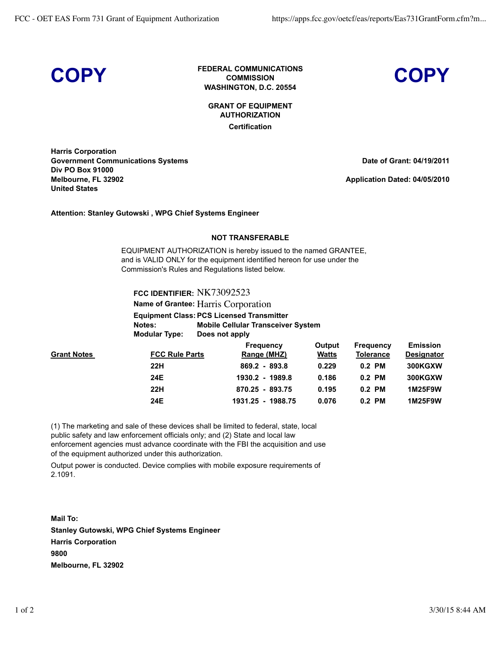**COPY FEDERAL COMMUNICATIONS COMMISSION WASHINGTON, D.C. 20554**



**GRANT OF EQUIPMENT AUTHORIZATION Certification**

**Harris Corporation Government Communications Systems Div PO Box 91000 Melbourne, FL 32902 United States**

**Date of Grant: 04/19/2011**

**Application Dated: 04/05/2010**

**Attention: Stanley Gutowski , WPG Chief Systems Engineer**

## **NOT TRANSFERABLE**

EQUIPMENT AUTHORIZATION is hereby issued to the named GRANTEE, and is VALID ONLY for the equipment identified hereon for use under the Commission's Rules and Regulations listed below.

**FCC IDENTIFIER:** NK73092523

**Name of Grantee:** Harris Corporation

**Equipment Class: PCS Licensed Transmitter Notes: Mobile Cellular Transceiver System Modular Type: Does not apply**

|                    |                       | <b>Frequency</b>  | Output       | <b>Frequency</b> | <b>Emission</b>   |
|--------------------|-----------------------|-------------------|--------------|------------------|-------------------|
| <b>Grant Notes</b> | <b>FCC Rule Parts</b> | Range (MHZ)       | <b>Watts</b> | <b>Tolerance</b> | <b>Designator</b> |
|                    | 22H                   | $869.2 - 893.8$   | 0.229        | $0.2$ PM         | 300KGXW           |
|                    | 24E                   | 1930.2 - 1989.8   | 0.186        | $0.2$ PM         | 300KGXW           |
|                    | 22H                   | 870.25 - 893.75   | 0.195        | $0.2$ PM         | 1M25F9W           |
|                    | 24E                   | 1931.25 - 1988.75 | 0.076        | $0.2$ PM         | 1M25F9W           |

(1) The marketing and sale of these devices shall be limited to federal, state, local public safety and law enforcement officials only; and (2) State and local law enforcement agencies must advance coordinate with the FBI the acquisition and use of the equipment authorized under this authorization.

Output power is conducted. Device complies with mobile exposure requirements of 2.1091.

**Mail To: Stanley Gutowski, WPG Chief Systems Engineer Harris Corporation 9800 Melbourne, FL 32902**